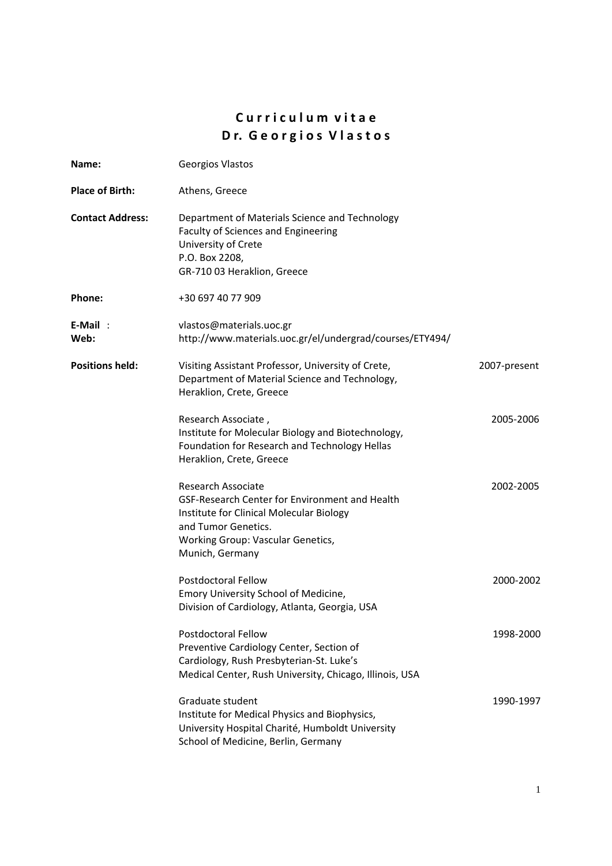# **C u r r i c u l u m v i t a e D r. G e o r g i o s V l a s t o s**

| Name:                   | Georgios Vlastos                                                                                                                                                                                |              |
|-------------------------|-------------------------------------------------------------------------------------------------------------------------------------------------------------------------------------------------|--------------|
| <b>Place of Birth:</b>  | Athens, Greece                                                                                                                                                                                  |              |
| <b>Contact Address:</b> | Department of Materials Science and Technology<br>Faculty of Sciences and Engineering<br>University of Crete<br>P.O. Box 2208,<br>GR-710 03 Heraklion, Greece                                   |              |
| Phone:                  | +30 697 40 77 909                                                                                                                                                                               |              |
| $E-Mail$ :<br>Web:      | vlastos@materials.uoc.gr<br>http://www.materials.uoc.gr/el/undergrad/courses/ETY494/                                                                                                            |              |
| <b>Positions held:</b>  | Visiting Assistant Professor, University of Crete,<br>Department of Material Science and Technology,<br>Heraklion, Crete, Greece                                                                | 2007-present |
|                         | Research Associate,<br>Institute for Molecular Biology and Biotechnology,<br>Foundation for Research and Technology Hellas<br>Heraklion, Crete, Greece                                          | 2005-2006    |
|                         | Research Associate<br>GSF-Research Center for Environment and Health<br>Institute for Clinical Molecular Biology<br>and Tumor Genetics.<br>Working Group: Vascular Genetics,<br>Munich, Germany | 2002-2005    |
|                         | <b>Postdoctoral Fellow</b><br>Emory University School of Medicine,<br>Division of Cardiology, Atlanta, Georgia, USA                                                                             | 2000-2002    |
|                         | <b>Postdoctoral Fellow</b><br>Preventive Cardiology Center, Section of<br>Cardiology, Rush Presbyterian-St. Luke's<br>Medical Center, Rush University, Chicago, Illinois, USA                   | 1998-2000    |
|                         | Graduate student<br>Institute for Medical Physics and Biophysics,<br>University Hospital Charité, Humboldt University<br>School of Medicine, Berlin, Germany                                    | 1990-1997    |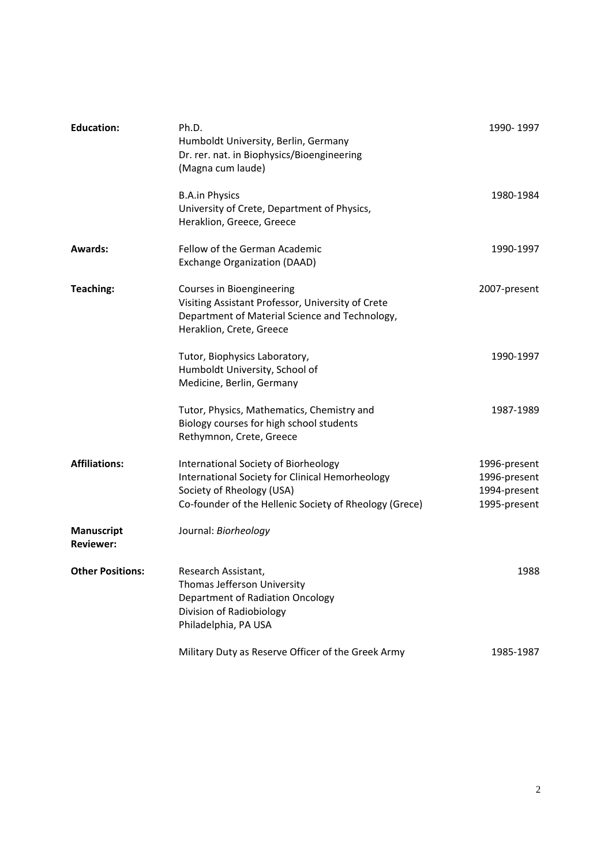| <b>Education:</b>                     | Ph.D.<br>Humboldt University, Berlin, Germany<br>Dr. rer. nat. in Biophysics/Bioengineering<br>(Magna cum laude)                                                               | 1990-1997                                                    |
|---------------------------------------|--------------------------------------------------------------------------------------------------------------------------------------------------------------------------------|--------------------------------------------------------------|
|                                       | <b>B.A.in Physics</b><br>University of Crete, Department of Physics,<br>Heraklion, Greece, Greece                                                                              | 1980-1984                                                    |
| <b>Awards:</b>                        | Fellow of the German Academic<br>Exchange Organization (DAAD)                                                                                                                  | 1990-1997                                                    |
| <b>Teaching:</b>                      | Courses in Bioengineering<br>Visiting Assistant Professor, University of Crete<br>Department of Material Science and Technology,<br>Heraklion, Crete, Greece                   | 2007-present                                                 |
|                                       | Tutor, Biophysics Laboratory,<br>Humboldt University, School of<br>Medicine, Berlin, Germany                                                                                   | 1990-1997                                                    |
|                                       | Tutor, Physics, Mathematics, Chemistry and<br>Biology courses for high school students<br>Rethymnon, Crete, Greece                                                             | 1987-1989                                                    |
| <b>Affiliations:</b>                  | International Society of Biorheology<br>International Society for Clinical Hemorheology<br>Society of Rheology (USA)<br>Co-founder of the Hellenic Society of Rheology (Grece) | 1996-present<br>1996-present<br>1994-present<br>1995-present |
| <b>Manuscript</b><br><b>Reviewer:</b> | Journal: Biorheology                                                                                                                                                           |                                                              |
| <b>Other Positions:</b>               | Research Assistant,<br>Thomas Jefferson University<br>Department of Radiation Oncology<br>Division of Radiobiology<br>Philadelphia, PA USA                                     | 1988                                                         |
|                                       | Military Duty as Reserve Officer of the Greek Army                                                                                                                             | 1985-1987                                                    |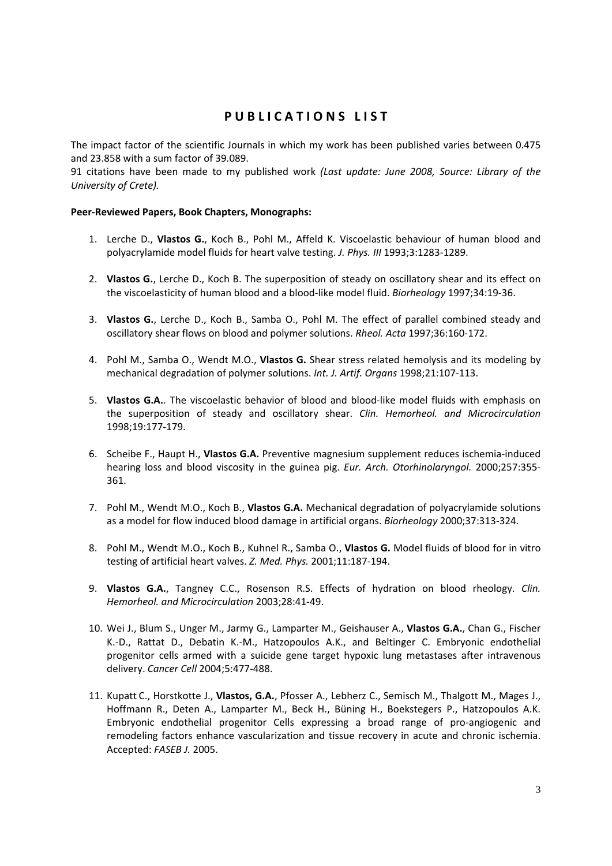# **P U B L I C A T I O N S L I S T**

The impact factor of the scientific Journals in which my work has been published varies between 0.475 and 23.858 with a sum factor of 39.089.

91 citations have been made to my published work *(Last update: June 2008, Source: Library of the University of Crete).*

## **Peer‐Reviewed Papers, Book Chapters, Monographs:**

- 1. Lerche D., **Vlastos G.**, Koch B., Pohl M., Affeld K. Viscoelastic behaviour of human blood and polyacrylamide model fluids for heart valve testing. *J. Phys. III* 1993;3:1283‐1289.
- 2. **Vlastos G.**, Lerche D., Koch B. The superposition of steady on oscillatory shear and its effect on the viscoelasticity of human blood and a blood‐like model fluid. *Biorheology* 1997;34:19‐36.
- 3. **Vlastos G.**, Lerche D., Koch B., Samba O., Pohl M. The effect of parallel combined steady and oscillatory shear flows on blood and polymer solutions. *Rheol. Acta* 1997;36:160‐172.
- 4. Pohl M., Samba O., Wendt M.O., **Vlastos G.** Shear stress related hemolysis and its modeling by mechanical degradation of polymer solutions. *Int. J. Artif. Organs* 1998;21:107‐113.
- 5. **Vlastos G.A.**. The viscoelastic behavior of blood and blood‐like model fluids with emphasis on the superposition of steady and oscillatory shear. *Clin. Hemorheol. and Microcirculation* 1998;19:177‐179.
- 6. Scheibe F., Haupt H., **Vlastos G.A.** Preventive magnesium supplement reduces ischemia‐induced hearing loss and blood viscosity in the guinea pig. *Eur. Arch. Otorhinolaryngol.* 2000;257:355‐ 361.
- 7. Pohl M., Wendt M.O., Koch B., **Vlastos G.A.** Mechanical degradation of polyacrylamide solutions as a model for flow induced blood damage in artificial organs. *Biorheology* 2000;37:313‐324.
- 8. Pohl M., Wendt M.O., Koch B., Kuhnel R., Samba O., **Vlastos G.** Model fluids of blood for in vitro testing of artificial heart valves. *Z. Med. Phys.* 2001;11:187‐194.
- 9. **Vlastos G.A.**, Tangney C.C., Rosenson R.S. Effects of hydration on blood rheology. *Clin. Hemorheol. and Microcirculation* 2003;28:41‐49.
- 10. Wei J., Blum S., Unger M., Jarmy G., Lamparter M., Geishauser A., **Vlastos G.A.**, Chan G., Fischer K.‐D., Rattat D., Debatin K.‐M., Hatzopoulos A.K., and Beltinger C. Embryonic endothelial progenitor cells armed with a suicide gene target hypoxic lung metastases after intravenous delivery. *Cancer Cell* 2004;5:477‐488.
- 11. Kupatt C., Horstkotte J., **Vlastos, G.A.**, Pfosser A., Lebherz C., Semisch M., Thalgott M., Mages J., Hoffmann R., Deten A., Lamparter M., Beck H., Büning H., Boekstegers P., Hatzopoulos A.K. Embryonic endothelial progenitor Cells expressing a broad range of pro‐angiogenic and remodeling factors enhance vascularization and tissue recovery in acute and chronic ischemia. Accepted: *FASEB J.* 2005.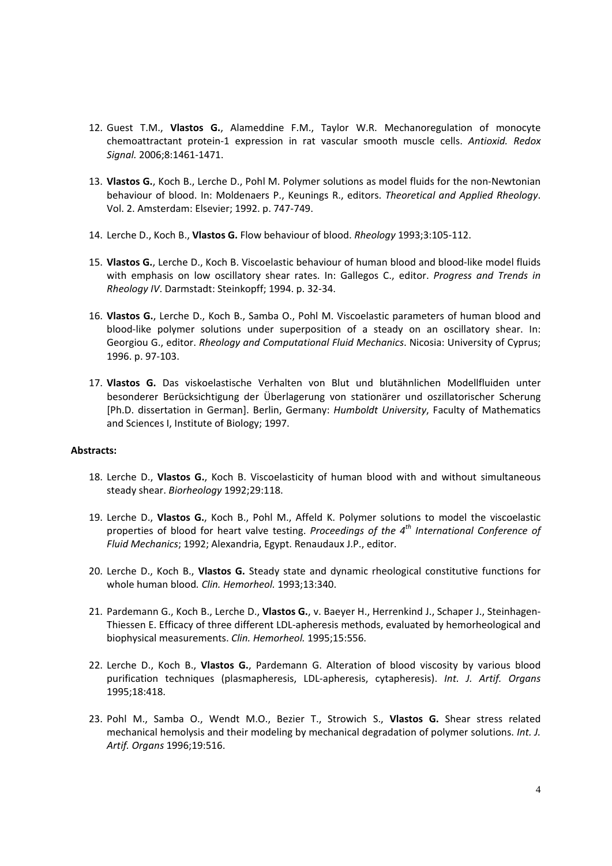- 12. Guest T.M., **Vlastos G.**, Alameddine F.M., Taylor W.R. Mechanoregulation of monocyte chemoattractant protein‐1 expression in rat vascular smooth muscle cells. *Antioxid. Redox Signal.* 2006;8:1461‐1471.
- 13. **Vlastos G.**, Koch B., Lerche D., Pohl M. Polymer solutions as model fluids for the non‐Newtonian behaviour of blood. In: Moldenaers P., Keunings R., editors. *Theoretical and Applied Rheology*. Vol. 2. Amsterdam: Elsevier; 1992. p. 747‐749.
- 14. Lerche D., Koch B., **Vlastos G.** Flow behaviour of blood. *Rheology* 1993;3:105‐112.
- 15. **Vlastos G.**, Lerche D., Koch B. Viscoelastic behaviour of human blood and blood‐like model fluids with emphasis on low oscillatory shear rates. In: Gallegos C., editor. *Progress and Trends in Rheology IV*. Darmstadt: Steinkopff; 1994. p. 32‐34.
- 16. **Vlastos G.**, Lerche D., Koch B., Samba O., Pohl M. Viscoelastic parameters of human blood and blood-like polymer solutions under superposition of a steady on an oscillatory shear. In: Georgiou G., editor. *Rheology and Computational Fluid Mechanics*. Nicosia: University of Cyprus; 1996. p. 97‐103.
- 17. **Vlastos G.** Das viskoelastische Verhalten von Blut und blutähnlichen Modellfluiden unter besonderer Berücksichtigung der Überlagerung von stationärer und oszillatorischer Scherung [Ph.D. dissertation in German]. Berlin, Germany: *Humboldt University*, Faculty of Mathematics and Sciences I, Institute of Biology; 1997.

### **Abstracts:**

- 18. Lerche D., **Vlastos G.**, Koch B. Viscoelasticity of human blood with and without simultaneous steady shear. *Biorheology* 1992;29:118.
- 19. Lerche D., **Vlastos G.**, Koch B., Pohl M., Affeld K. Polymer solutions to model the viscoelastic properties of blood for heart valve testing. *Proceedings of the 4th International Conference of Fluid Mechanics*; 1992; Alexandria, Egypt. Renaudaux J.P., editor.
- 20. Lerche D., Koch B., **Vlastos G.** Steady state and dynamic rheological constitutive functions for whole human blood*. Clin. Hemorheol.* 1993;13:340.
- 21. Pardemann G., Koch B., Lerche D., **Vlastos G.**, v. Baeyer H., Herrenkind J., Schaper J., Steinhagen‐ Thiessen E. Efficacy of three different LDL‐apheresis methods, evaluated by hemorheological and biophysical measurements. *Clin. Hemorheol.* 1995;15:556.
- 22. Lerche D., Koch B., **Vlastos G.**, Pardemann G. Alteration of blood viscosity by various blood purification techniques (plasmapheresis, LDL‐apheresis, cytapheresis). *Int. J. Artif. Organs* 1995;18:418.
- 23. Pohl M., Samba O., Wendt M.O., Bezier T., Strowich S., **Vlastos G.** Shear stress related mechanical hemolysis and their modeling by mechanical degradation of polymer solutions. *Int. J. Artif. Organs* 1996;19:516.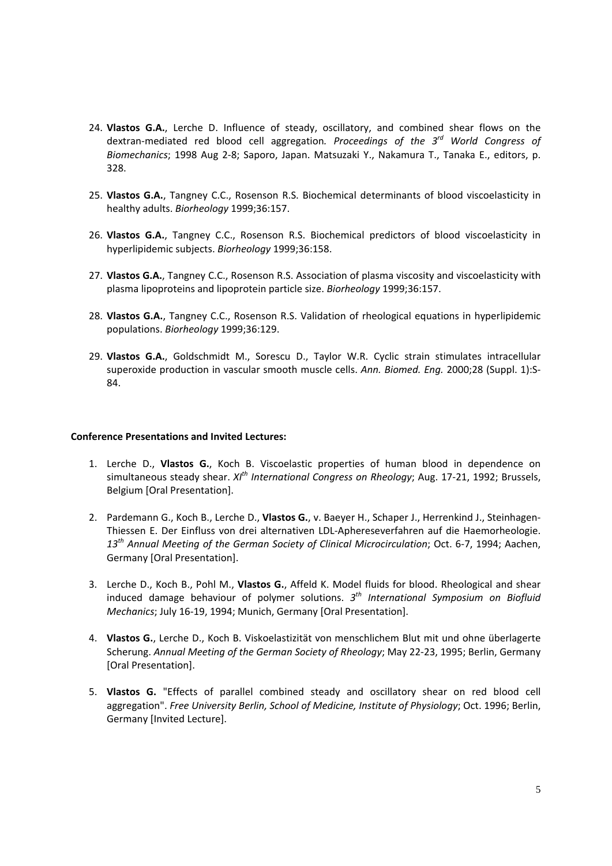- 24. **Vlastos G.A.**, Lerche D. Influence of steady, oscillatory, and combined shear flows on the dextran‐mediated red blood cell aggregation*. Proceedings of the 3rd World Congress of Biomechanics*; 1998 Aug 2‐8; Saporo, Japan. Matsuzaki Y., Nakamura T., Tanaka E., editors, p. 328.
- 25. **Vlastos G.A.**, Tangney C.C., Rosenson R.S. Biochemical determinants of blood viscoelasticity in healthy adults. *Biorheology* 1999;36:157.
- 26. **Vlastos G.A.**, Tangney C.C., Rosenson R.S. Biochemical predictors of blood viscoelasticity in hyperlipidemic subjects. *Biorheology* 1999;36:158.
- 27. **Vlastos G.A.**, Tangney C.C., Rosenson R.S. Association of plasma viscosity and viscoelasticity with plasma lipoproteins and lipoprotein particle size. *Biorheology* 1999;36:157.
- 28. **Vlastos G.A.**, Tangney C.C., Rosenson R.S. Validation of rheological equations in hyperlipidemic populations. *Biorheology* 1999;36:129.
- 29. **Vlastos G.A.**, Goldschmidt M., Sorescu D., Taylor W.R. Cyclic strain stimulates intracellular superoxide production in vascular smooth muscle cells. *Ann. Biomed. Eng.* 2000;28 (Suppl. 1):S‐ 84.

### **Conference Presentations and Invited Lectures:**

- 1. Lerche D., **Vlastos G.**, Koch B. Viscoelastic properties of human blood in dependence on simultaneous steady shear. *XIth International Congress on Rheology*; Aug. 17‐21, 1992; Brussels, Belgium [Oral Presentation].
- 2. Pardemann G., Koch B., Lerche D., **Vlastos G.**, v. Baeyer H., Schaper J., Herrenkind J., Steinhagen‐ Thiessen E. Der Einfluss von drei alternativen LDL‐Aphereseverfahren auf die Haemorheologie. *13th Annual Meeting of the German Society of Clinical Microcirculation*; Oct. 6‐7, 1994; Aachen, Germany [Oral Presentation].
- 3. Lerche D., Koch B., Pohl M., **Vlastos G.**, Affeld K. Model fluids for blood. Rheological and shear induced damage behaviour of polymer solutions. *3th International Symposium on Biofluid Mechanics*; July 16‐19, 1994; Munich, Germany [Oral Presentation].
- 4. **Vlastos G.**, Lerche D., Koch B. Viskoelastizität von menschlichem Blut mit und ohne überlagerte Scherung. *Annual Meeting of the German Society of Rheology*; May 22‐23, 1995; Berlin, Germany [Oral Presentation].
- 5. **Vlastos G.** "Effects of parallel combined steady and oscillatory shear on red blood cell aggregation". *Free University Berlin, School of Medicine, Institute of Physiology*; Oct. 1996; Berlin, Germany [Invited Lecture].